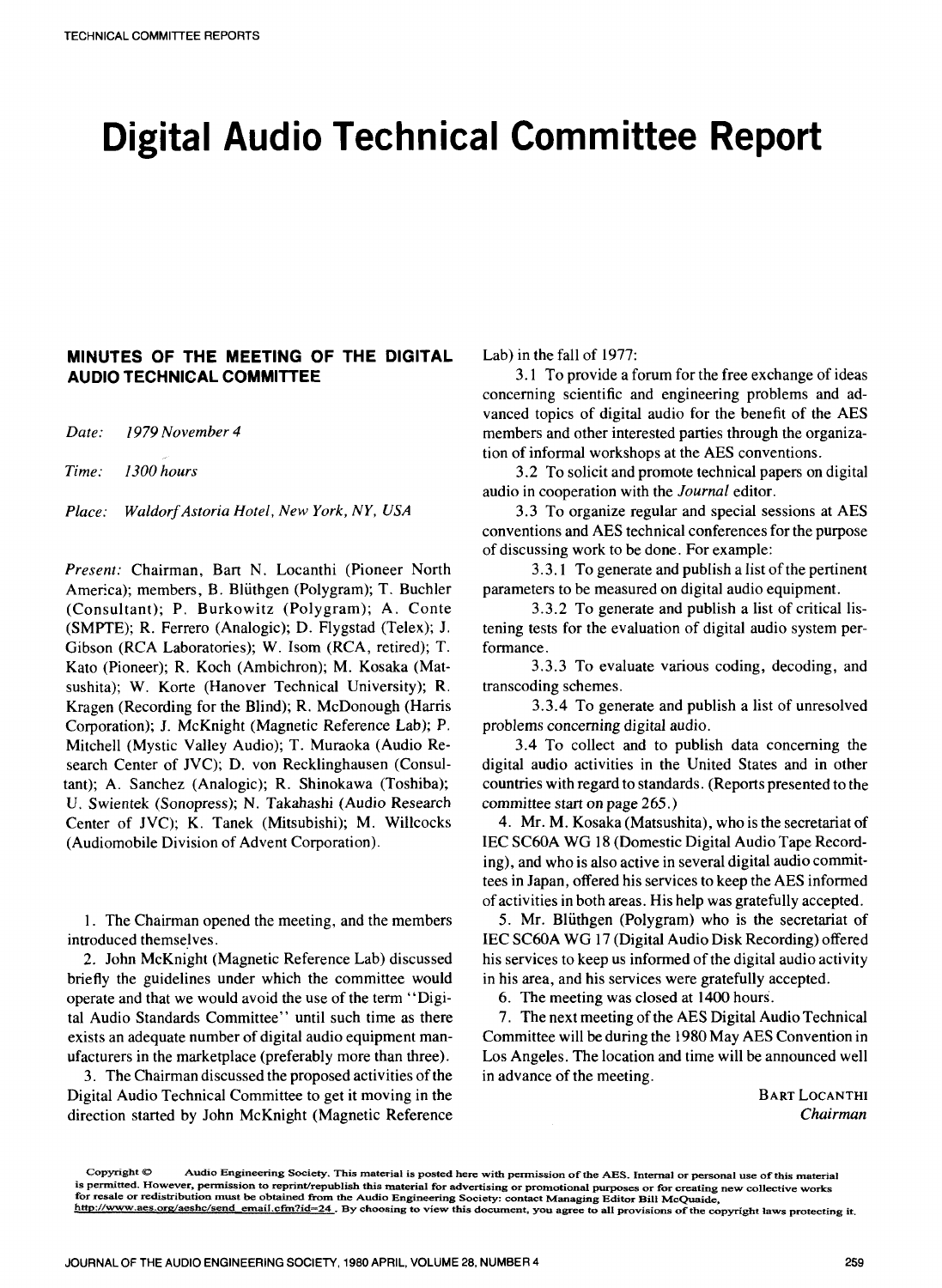# **Digital Audio Technical Committee Report**

### **MINUTES OF THE MEETING OF THE DIGITAL AUDIO TECHNICAL COMMITTEE**

*Date: 1979 November 4* 

*Time: 1300 hours* 

*Place: WaldorfAstoria Hotel, New York, NY, USA* 

*Present:* Chairman, Bart N. Locanthi (Pioneer North America); members, B. Blüthgen (Polygram); T. Buchler (Consultant); P. Burkowitz (Polygram); A. Conte (SMPTE); R. Ferrero (Analogic); D. Flygstad (Telex); J. Gibson (RCA Laboratories); W. Isom (RCA, retired); T. Kato (Pioneer); R. Koch (Ambichron); M. Kosaka (Matsushita); W. Korte (Hanover Technical University); R. Kragen (Recording for the Blind); R. McDonough (Harris Corporation); J. McKnight (Magnetic Reference Lab); P. Mitchell (Mystic Valley Audio); T. Muraoka (Audio Research Center of JVC); D. von Recklinghausen (Consultant); A. Sanchez (Analogic); R. Shinokawa (Toshiba); U. Swientek (Sonopress); N. Takahashi (Audio Research Center of JVC); K. Tanek (Mitsubishi); M. Willcocks (Audiomobile Division of Advent Corporation).

1. The Chairman opened the meeting, and the members introduced themselves.

*2.* John McKnight (Magnetic Reference Lab) discussed briefly the guidelines under which the committee would operate and that we would avoid the use of the term "Digital Audio Standards Committee" until such time as there exists an adequate number of digital audio equipment manufacturers in the marketplace (preferably more than three).

3. The Chairman discussed the proposed activities of the Digital Audio Technical Committee to get it moving in the direction started by John McKnight (Magnetic Reference Lab) in the fall of 1977:

3.1 To provide a forum for the free exchange of ideas concerning scientific and engineering problems and advanced topics of digital audio for the benefit of the AES members and other interested parties through the organization of informal workshops at the AES conventions.

3.2 To solicit and promote technical papers on digital audio in cooperation with the *Journal* editor.

3.3 To organize regular and special sessions at AES conventions and AES technical conferences for the purpose of discussing work to be done. For example:

3.3.1 To generate and publish a list of the pertinent parameters to be measured on digital audio equipment.

3.3.2 To generate and publish a list of critical listening tests for the evaluation of digital audio system performance.

3.3.3 To evaluate various coding, decoding, and transcoding schemes.

3.3.4 To generate and publish a list of unresolved problems concerning digital audio.

3.4 To collect and to publish data concerning the digital audio activities in the United States and in other countries with regard to standards. (Reports presented to the committee start on page 265.)

4. Mr. M. Kosaka (Matsushita), who is the secretariat of IEC SC60A WG 18 (Domestic Digital Audio Tape Recording), and who is also active in several digital audio committees in Japan, offered his services to keep the AES informed of activities in both areas. His help was gratefully accepted.

5. Mr. Bluthgen (Polygram) who is the secretariat of IEC SC60A WG 17 (Digital Audio Disk Recording) offered his services to keep us informed of the digital audio activity in his area, and his services were gratefully accepted.

**6.** The meeting was closed at 1400 hours.

7. The next meeting of the AES Digital Audio Technical Committee will be during the 1980 May AES Convention in Los Angeles. The location and time will be announced well in advance of the meeting.

> BART LOCANTHI *Chairman*

**Copyright** *S2* **Audio Engineering Society. This materia1 is posted here with permission of the AES. Internal or personal use of this material**  is permitted. However, permission to reprint/republish this material for advertising or promotional purposes or for creating new collective works **for resale or redistribution must be obtained from the Audio Engineering Society: contact Managing Editor Bill MoQuaide,**  http://www.aes.org/aeshc/send\_email.cfm?id=24. By choosing to view this document, you agree to all provisions of the copyright laws protecting it.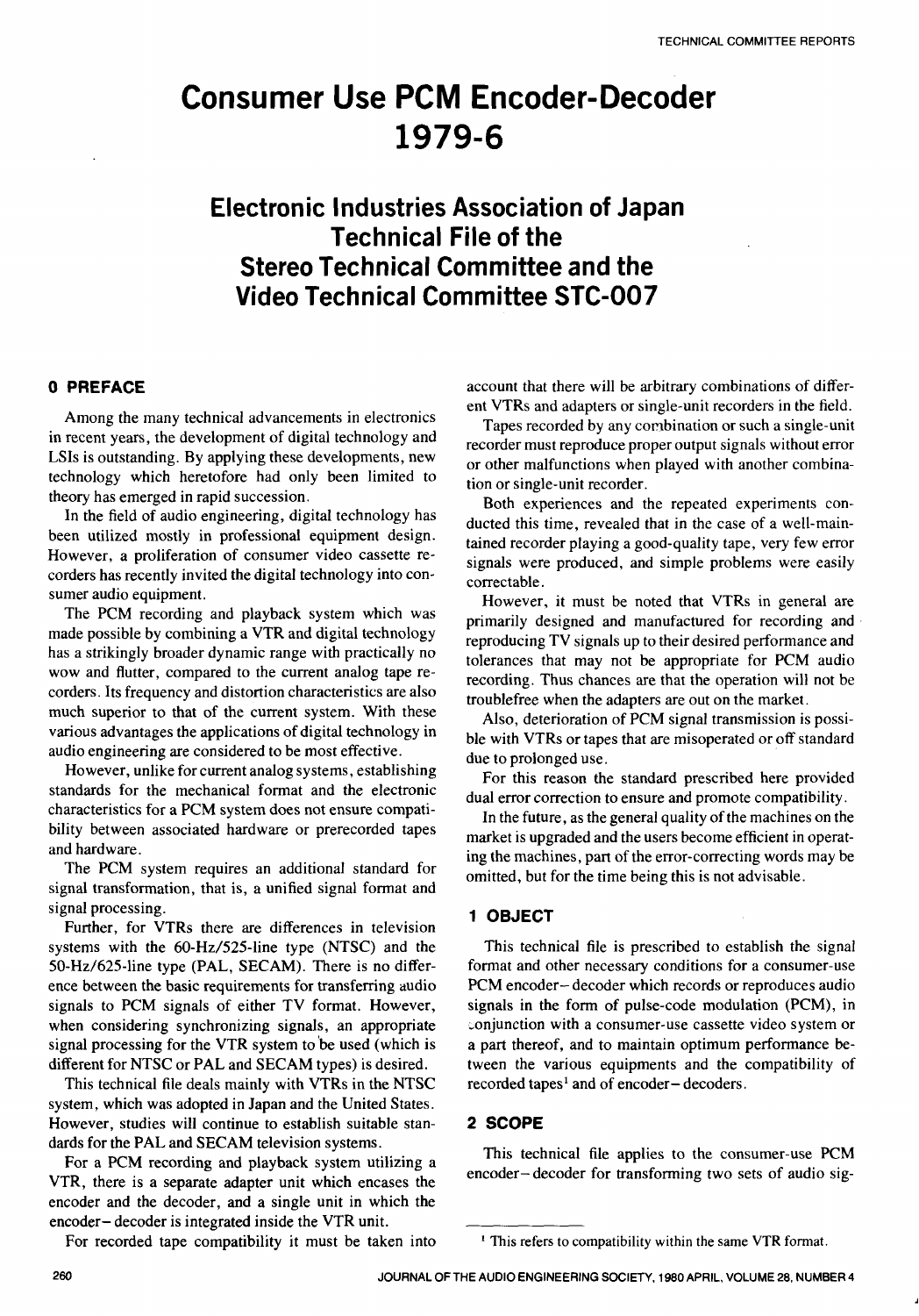# **Consumer Use PCM Encoder-Decoder 1979-6**

# **Electronic Industries Association of Japan Technical File of the Stereo Technical Committee and the Video Technical Committee STC-007**

#### **0 PREFACE**

Among the many technical advancements in electronics in recent years, the development of digital technology and LSIs is outstanding. By applying these developments, new technology which heretofore had only been limited to theory has emerged in rapid succession.

In the field of audio engineering, digital technology has been utilized mostly in professional equipment design. However, a proliferation of consumer video cassette recorders has recently invited the digital technology into consumer audio equipment.

The PCM recording and playback system which was made possible by combining a VTR and digital technology has a strikingly broader dynamic range with practically no wow and flutter, compared to the current analog tape recorders. Its frequency and distortion characteristics are also much superior to that of the current system. With these various advantages the applications of digital technology in audio engineering are considered to be most effective.

However, unlike for current analog systems, establishing standards for the mechanical format and the electronic characteristics for a PCM system does not ensure compatibility between associated hardware or prerecorded tapes and hardware.

The PCM system requires an additional standard for signal transformation, that is, a unified signal format and signal processing.

Further, for VTRs there are differences in television systems with the  $60-Hz/525$ -line type (NTSC) and the 50-Hz/625-line type (PAL, SECAM). There is no difference between the basic requirements for transferring audio signals to PCM signals of either TV format. However, when considering synchronizing signals, an appropriate signal processing for the VTR system to be used (which is different for NTSC or PAL and SECAM types) is desired.

This technical file deals mainly with VTRs in the NTSC system, which was adopted in Japan and the United States. However, studies will continue to establish suitable standards for the PAL and SECAM television systems.

For a PCM recording and playback system utilizing a VTR, there is a separate adapter unit which encases the encoder and the decoder, and a single unit in which the encoder- decoder is integrated inside the VTR unit.

For recorded tape compatibility it must be taken into

account that there will be arbitrary combinations of different VTRs and adapters or single-unit recorders in the field.

Tapes recorded by any combination or such a single-unit recorder must reproduce proper output signals without error or other malfunctions when played with another combination or single-unit recorder.

Both experiences and the repeated experiments conducted this time, revealed that in the case of a well-maintained recorder playing a good-quality tape, very few error signals were produced, and simple problems were easily correctable.

However, it must be noted that VTRs in general are primarily designed and manufactured for recording and reproducing TV signals up to their desired performance and tolerances that may not be appropriate for PCM audio recording. Thus chances are that the operation will not be troublefree when the adapters are out on the market.

Also, deterioration of PCM signal transmission is possible with VTRs or tapes that are misoperated or off standard due to prolonged use.

For this reason the standard prescribed here provided dual error correction to ensure and promote compatibility.

In the future, as the general quality of the machines on the market is upgraded and the users become efficient in operating the machines, part of the error-correcting words may be omitted, but for the time being this is not advisable.

### **1 OBJECT**

This technical file is prescribed to establish the signal format and other necessary conditions for a consumer-use PCM encoder-decoder which records or reproduces audio signals in the form of pulse-code modulation (PCM), in conjunction with a consumer-use cassette video system or a part thereof, and to maintain optimum performance between the various equipments and the compatibility of recorded tapes' and of encoder- decoders.

#### **2 SCOPE**

This technical file applies to the consumer-use PCM encoder- decoder for transforming two sets of audio sig-

<sup>\*</sup> **This refers to compatibility within the same VTR format.**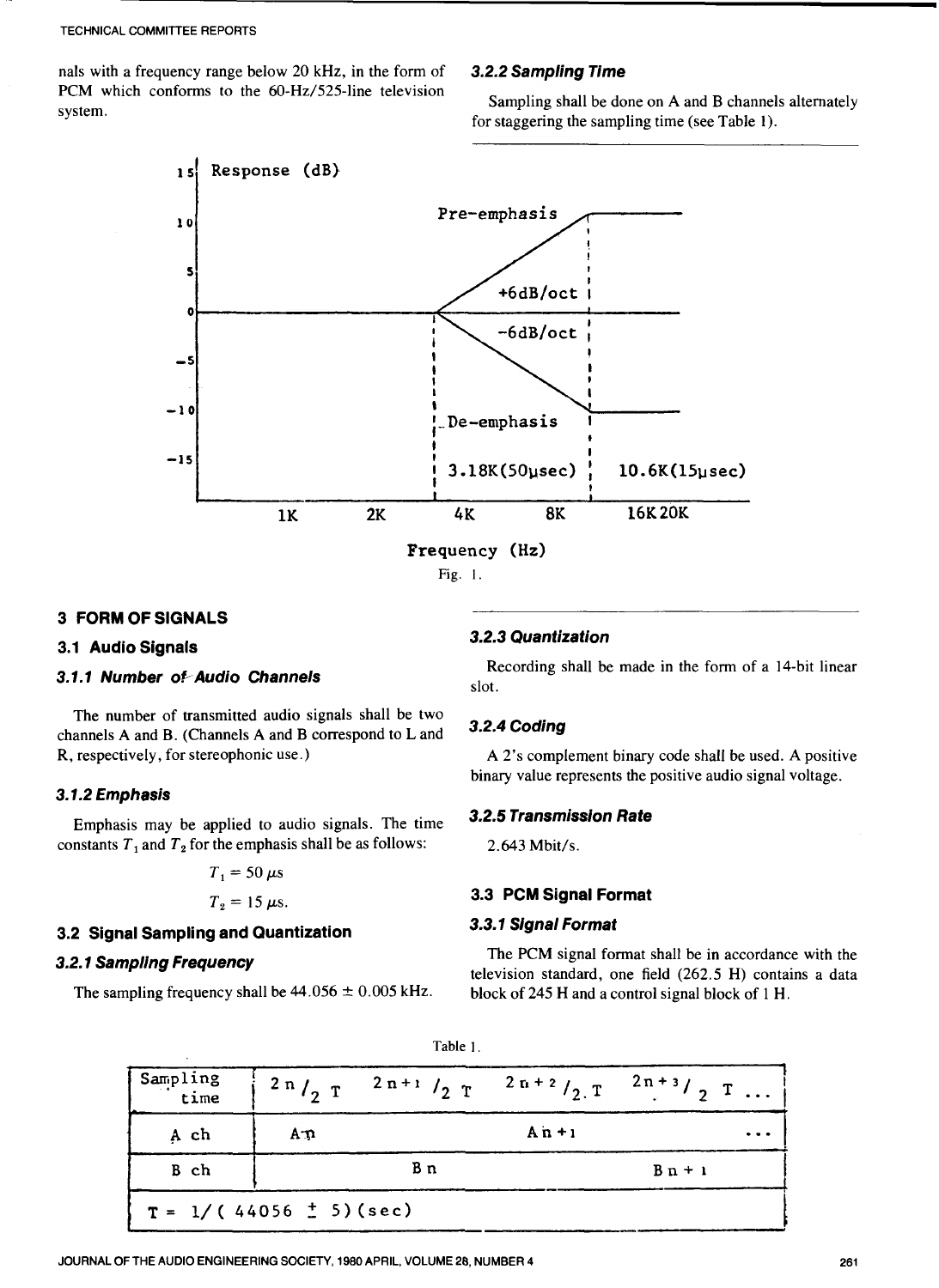nals with a frequency range below 20 kHz, in the form of PCM which conforms to the 60-Hz/525-line television system.

#### *3.2.2 Sampling Time*

Sampling shall be done on A and B channels alternately for staggering the sampling time (see Table 1).



#### **3 FORM OF SIGNALS**

### **3.1 Audio Signals**

### 3.1.1 Number of Audio Channels

The number of transmitted audio signals shall be two channels A and B. (Channels **A** and B correspond to L and R, respectively, for stereophonic use.)

#### *3.7.2 Emphasis*

constants  $T_1$  and  $T_2$  for the emphasis shall be as follows: *3.2.5 Transmission Rate* Emphasis may be applied to audio signals. The time

$$
T_1 = 50 \ \mu s
$$

$$
T_2=15 \ \mu s.
$$

#### **3.2 Signal Sampling and Quantization**

#### *3.2.7 Sampling Frequency*

#### *3.2.3 Quantization*

Recording shall be made in the form of a 14-bit linear slot.

#### *3.2.4 Coding*

A 2's complement binary code shall be used. A positive binary value represents the positive audio signal voltage.

2.643 Mbit/s.

### **3.3 PCM Signal Format**

#### *3.3.7 Signal Format*

The PCM signal format shall be in accordance with the television standard, one field (262.5 H) contains a data The sampling frequency shall be  $44.056 \pm 0.005$  kHz. block of 245 H and a control signal block of 1 H.

| pling Frequency<br>pling frequency shall be $44.056 \pm 0.005$ kHz. |                  |                 | The PCM signal format shall be in accordance with the<br>television standard, one field (262.5 H) contains a data<br>block of 245 H and a control signal block of 1 H. |            |                                                                           |
|---------------------------------------------------------------------|------------------|-----------------|------------------------------------------------------------------------------------------------------------------------------------------------------------------------|------------|---------------------------------------------------------------------------|
|                                                                     |                  | Table 1.        |                                                                                                                                                                        |            |                                                                           |
| Sampling<br>time                                                    | 2n/2T            | $2 n + 1 / 2 T$ | $2 n + 2 / 2 T$                                                                                                                                                        | $2n+3/2$ T |                                                                           |
| A ch                                                                | $A \mathfrak{D}$ |                 | $An + 1$                                                                                                                                                               |            | $\bullet\hspace{0.1cm} \bullet\hspace{0.1cm}\bullet\hspace{0.1cm}\bullet$ |
| B ch                                                                |                  | Вn              |                                                                                                                                                                        | $B_n + 1$  |                                                                           |
| $T = 1/(44056 \pm 5)(sec)$                                          |                  |                 |                                                                                                                                                                        |            |                                                                           |
| THE AUDIO ENGINEERING SOCIETY, 1980 APRIL, VOLUME 28, NUMBER 4      |                  |                 |                                                                                                                                                                        |            |                                                                           |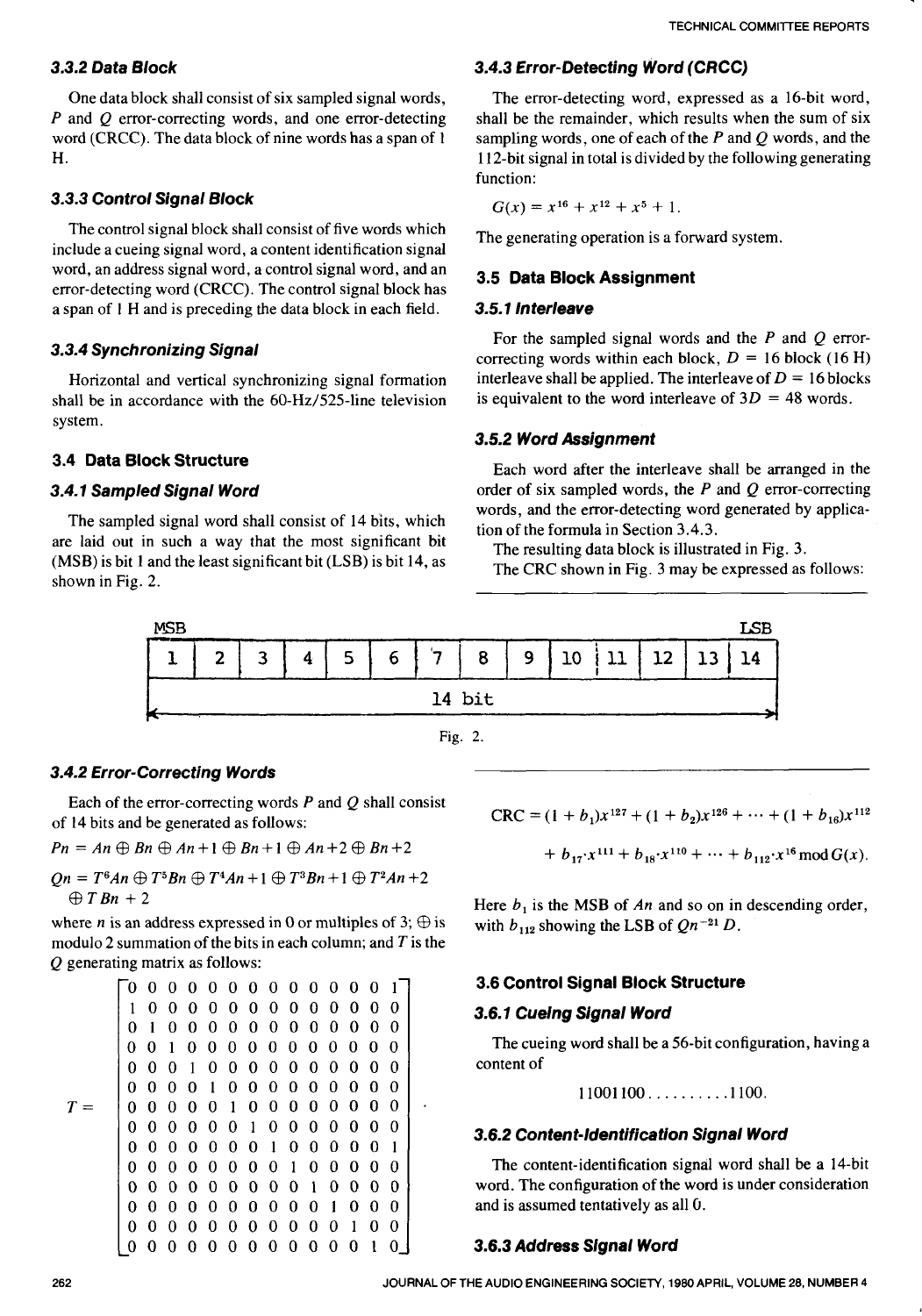One data block shall consist of six sampled signal words, P and *Q* error-correcting words, and one error-detecting word (CRCC). The data block **of** nine words has a span of 1 H.

# *3.3.3 Control Signal Block*

The control signal block shall consist of five words which include a cueing signal word, a content identification signal **3.5 Data Block Assignment <b>3.5 Data Block Assignment** error-detecting word (CRCC). The control signal block has a span of 1 H and is preceding the data block in each field. *3.5.1 Interleave* 

Horizontal and vertical synchronizing signal formation shall be in accordance with the 60-Hz/525-line television system.

# **3.4** *Data Block Structure*

# *3.4.1 Sampled Signal Word*

The sampled signal word shall consist of 14 bits, which are laid out in such a way that the most significant bit **(MSB)** is bit 1 and the least significant bit **(LSB)** is bit 14, as shown in Fig. 2.

# *3.3.2 Data Block 3.4.3 Error-Detecting Word (CRCC)*

The error-detecting word, expressed as a 16-bit word, shall be the remainder, which results when the sum of six sampling words, one of each of the P and *Q* words, and the 1 12-bit signal in total is divided by the following generating function:

 $G(x) = x^{16} + x^{12} + x^5 + 1$ .

The generating operation is a forward system.

**3.3.4 Synchronizing Signal** For the sampled signal words and the *P* and *Q* error-<br>**3.3.4 Synchronizing Signal** correcting words within each block,  $D = 16$  block (16 H) interleave shall be applied. The interleave of  $D = 16$  blocks is equivalent to the word interleave of  $3D = 48$  words.

### *3.5.2 Word Assignment*

Each word after the interleave shall be arranged in the order of six sampled words, the P and *Q* error-correcting words, and the error-detecting word generated by application of the formula in Section 3.4.3.

The resulting data block is illustrated in Fig. 3.

The CRC shown in Fig. 3 may be expressed as follows:



## *3.4.2 Error-Correcting Words*

Each of the error-correcting words P and *Q* shall consist of 14 bits and be generated as follows:

$$
Pn = An \oplus Bn \oplus An+1 \oplus Bn+1 \oplus An+2 \oplus Bn+2
$$

 $Qn = T^6An \oplus T^5Bn \oplus T^4An + 1 \oplus T^3Bn + 1 \oplus T^2An + 2$  $\oplus$  T Bn + 2

where *n* is an address expressed in 0 or multiples of 3;  $\oplus$  is modulo 2 summation of the bits in each column; and  $T$  is the *Q* generating matrix as follows:

10000000000000 01000000000000 00100000000000  $T=$ 0 0 0 1 0 0 0 0 0 0 0 0 0 0 0 0 0 content of 000010000000000<br>00000100000000 00000010000000 00000001000001 00000000100000 00000000010000  $\begin{array}{cccccccc} 0&0&0&0&0&0&0&0&0&0&1&0&0&0 \\ 0&0&0&0&0&0&0&0&0&0&0&0&1&0&0 \\ 0&0&0&0&0&0&0&0&0&0&0&0&0&1&0 \end{array}$ 00000000000010 I *3.6.2 Content-Identification Signal Word* 

$$
\text{CRC} = (1 + b_1)x^{127} + (1 + b_2)x^{126} + \dots + (1 + b_{16})x^{112}
$$
\n
$$
\text{CRC} = (1 + b_1)x^{127} + (1 + b_2)x^{126} + \dots + (1 + b_{16})x^{112}
$$
\n
$$
= An \oplus Bn \oplus An + 1 \oplus Bn + 1 \oplus An + 2 \oplus Bn + 2 + b_{17}x^{111} + b_{18}x^{110} + \dots + b_{112}x^{16} \mod G(x).
$$

Here  $b_1$  is the MSB of  $An$  and so on in descending order, with  $b_{112}$  showing the LSB of  $Qn^{-21}$  *D*.

# ~O~OOOOOOOOOOO~~ *3.6 Control Signal* **Block** *Structure*

### *3.6.1 Cueing Signal Word*

The cueing word shall be a 56-bit configuration, having a

$$
11001100\ldots\ldots\ldots\ldots1100
$$

The content-identification signal word shall be a 14-bit word. The configuration **of** the word is under consideration and is assumed tentatively as all *0.* 

## *3.6.3 Address Slgnal Word*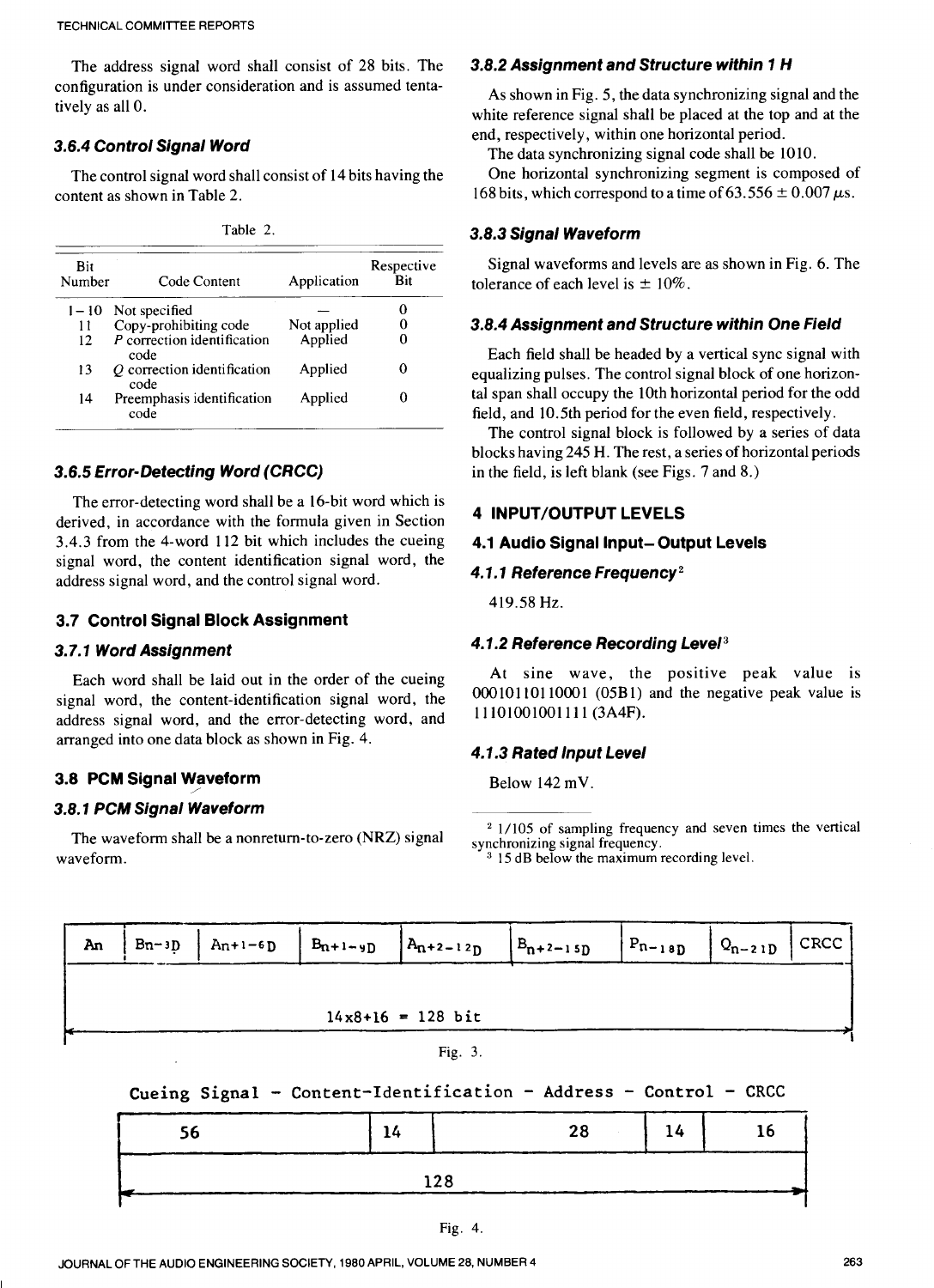The address signal word shall consist of 28 bits. The configuration is under consideration and is assumed tentatively as all 0.

content as shown in Table 2. 168 bits, which correspond to a time of 63.556  $\pm$  0.007  $\mu$ s.

| anie |  |
|------|--|
|      |  |

| Bit<br>Number | Code Content                          | Application | Respective<br>Bit |
|---------------|---------------------------------------|-------------|-------------------|
|               | $1 - 10$ Not specified                |             |                   |
| 11            | Copy-prohibiting code                 | Not applied |                   |
| 12            | $P$ correction identification<br>code | Applied     |                   |
| 13            | O correction identification<br>code   | Applied     |                   |
| 14            | Preemphasis identification<br>code    | Applied     |                   |

### *3.6.5 Error-Detecting Word (CRCC)*

The error-detecting word shall be a 16-bit word which is derived, in accordance with the formula given in Section **4 INPUT/OUTPUT** *LEVELS*  3.4.3 from the 4-word 112 bit which includes the cueing signal word, the content identification signal word, the address signal word, and the control signal word.

#### *3.7 Control Signal Block Assignment*

**is** signal word, the content-identification signal word, the address signal word, and the error-detecting word, and arranged into one data block as shown in Fig. 4.

#### **3.8 PCM** *Signal Waveform*

#### *3.8.1 PCM Signal Waveform*

The waveform shall be a nonreturn-to-zero (NRZ) signal waveform.

#### *3.8.2 Assignment and Structure within 1 H*

As shown in Fig. 5, the data synchronizing signal and the white reference signal shall be placed at the top and at the **3.6.4 Control Signal Word** end, respectively, within one horizontal period.

The data synchronizing signal code shall be 1010.

The control signal word shall consist of 14 bits having the One horizontal synchronizing segment is composed of

#### *3.8.3 Signal Waveform*

tolerance of each level is  $\pm 10\%$ . Signal waveforms and levels are as shown in Fig. 6. The

#### *3.8.4 Assignment and Structure within One Field*

Each field shall be headed by a vertical sync signal with equalizing pulses. The control signal block of one horizontal span shall occupy the 10th horizontal period for the odd field, and 10.5th period for the even field, respectively.

The control signal block is followed by a series of data blocks having 245 H. The rest, a series of horizontal periods in the field, is left blank (see Figs. 7 and **8.)** 

### **4.1** *Audio Signal Input-Output Levels*

#### *4.1.1 Reference Frequency2*

419.58 Hz.

# *3.7.1 Word Assignment 4.1.2 Reference Recording Level3*

Each word shall be laid out in the order of the cueing At sine wave, the positive peak value is  $00010110110001$   $(05B1)$  and the negative peak value is 11 101001001 11 1 (3A4F).

#### *4.1.3 Rated lnput Level*

Vaveform Below  $142 \text{ mV}$ .

 $21/105$  of sampling frequency and seven times the vertical synchronizing signal frequency.

<sup>3</sup> 15 dB below the maximum recording level.

|  |  |                     | An   Bn-3D   An+1-6D   Bn+1-9D   An+2-12D   Bn+2-15D   Pn-18D   Qn-21D   CRCC |  |  |
|--|--|---------------------|-------------------------------------------------------------------------------|--|--|
|  |  |                     |                                                                               |  |  |
|  |  | $14x8+16 = 128$ bit |                                                                               |  |  |
|  |  | Fig. 3.             |                                                                               |  |  |

# Cueing Signal - Content-Identification - Address - Control - CRCC

| 56 | 14 | 28 14 16 |  |
|----|----|----------|--|
|    |    |          |  |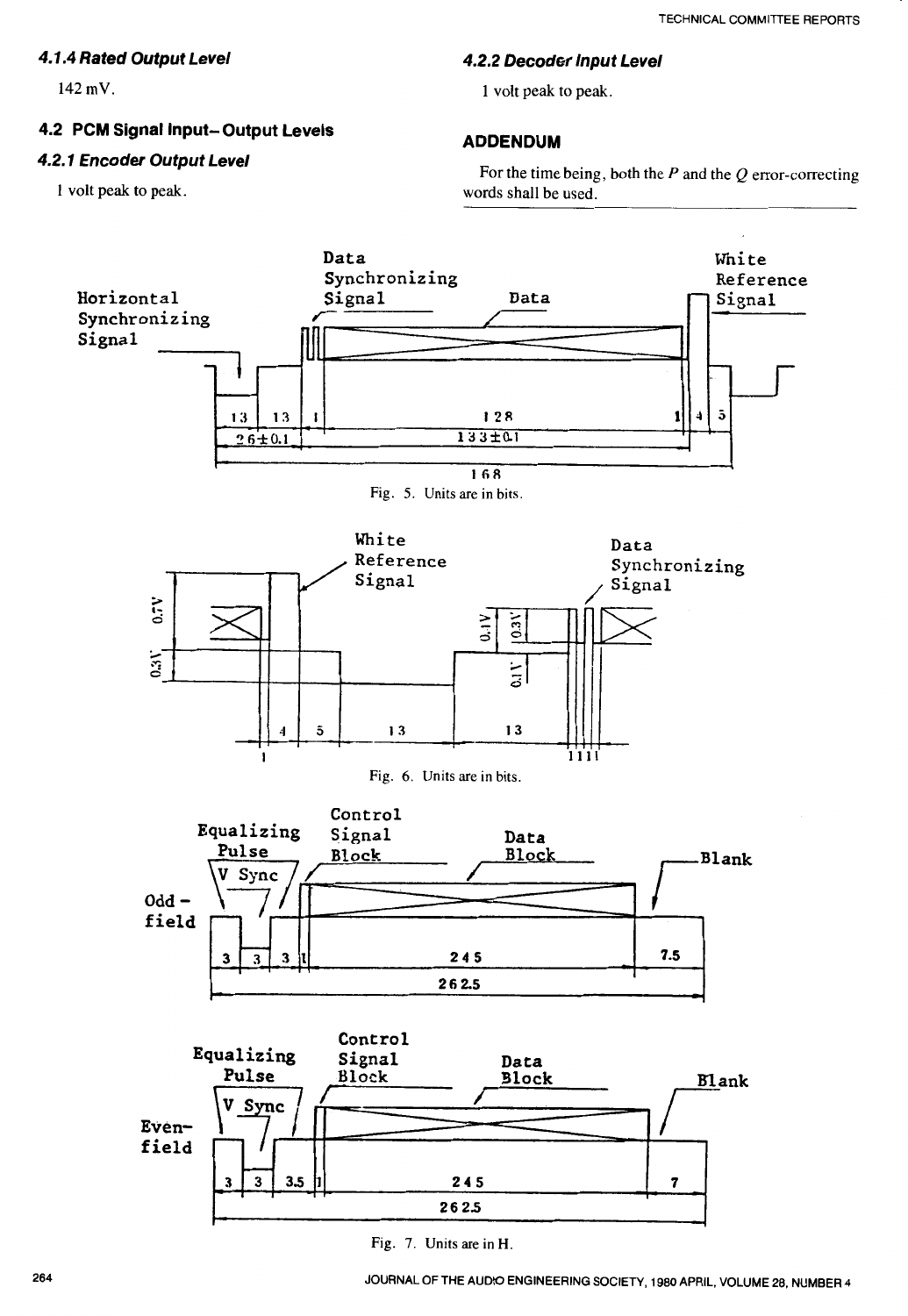# *4.1.4 Rated Output Level*

**142 mV.** 

# **4.2 PCM Signal Input- Output** *Levels*

# *4.2.1 Encoder Output Level*

**1 volt peak to peak.** 

### *4.2.2 Decoder Input Level*

**1 volt peak to peak.** 

# **ADDENDUM**

**For the time being, both the P and the Q error-correcting words shall be used.** 

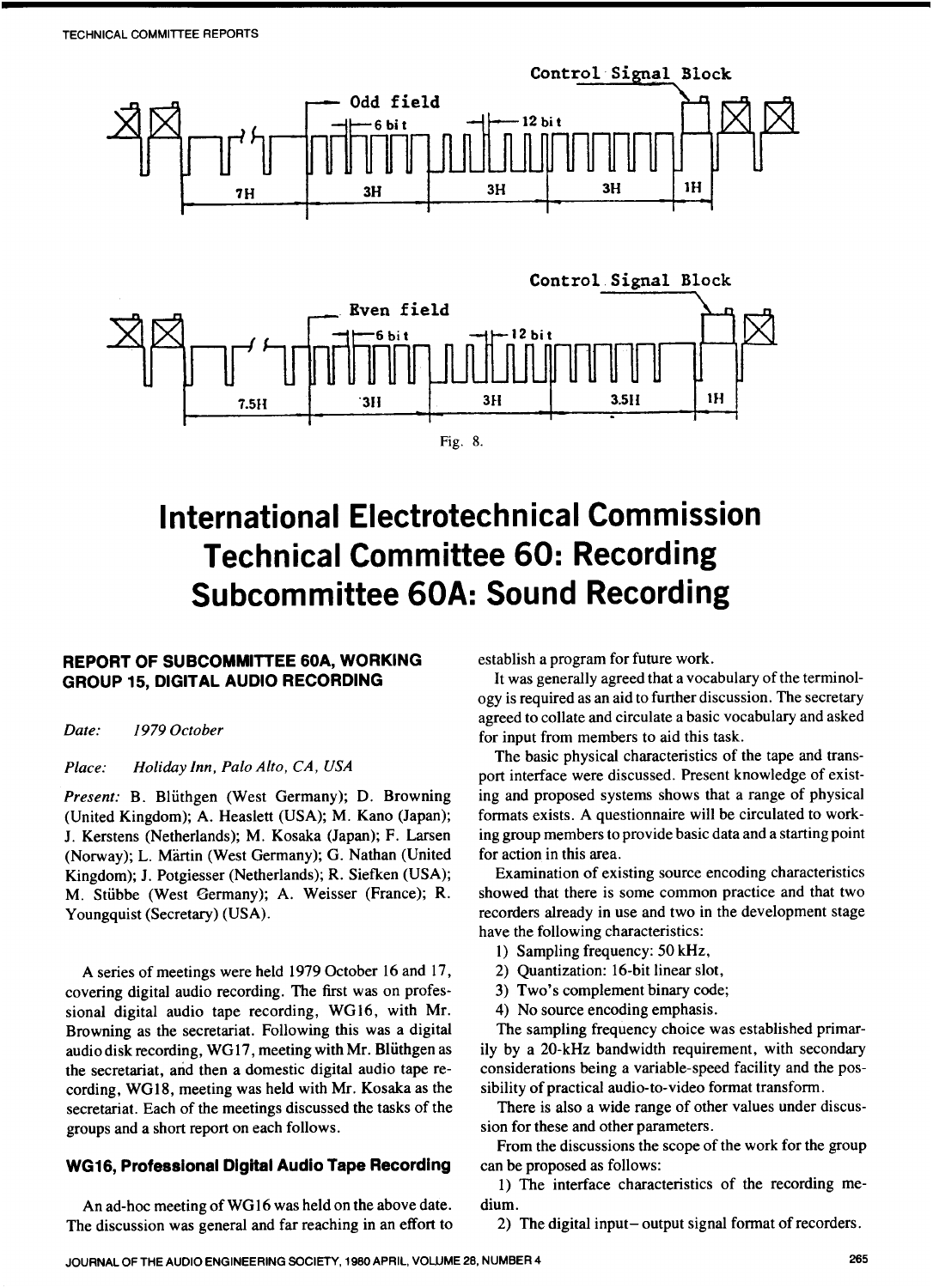

# **International Electrotechnical Commission Technical Committee 60: Recording Subcommittee 60A: Sound Recording**

### **REPORT OF SUBCOMMITTEE 60A, WORKING GROUP 15, DIGITAL AUDIO RECORDING**

*Date: 1979 October* 

#### *Place: Holiday Inn, Palo Alto, CA, USA*

Present: B. Blüthgen (West Germany); D. Browning (United Kingdom); A. Heaslett (USA); M. Kano (Japan); J. Kerstens (Netherlands); M. Kosaka (Japan); F. Larsen (Norway); L. Märtin (West Germany); G. Nathan (United Kingdom); J. Potgiesser (Netherlands); R. Siefken (USA); M. Stübbe (West Germany); A. Weisser (France); R. Youngquist (Secretary) (USA).

A series of meetings were held 1979 October 16 and 17, covering digital audio recording. The first was on professional digital audio tape recording, WG16, with Mr. Browning as the secretariat. Following this was a digital audio disk recording, WG17, meeting with Mr. Blüthgen as the secretariat, and then a domestic digital audio tape recording, WG18, meeting was held with Mr. Kosaka as the secretariat. Each of the meetings discussed the tasks of the groups and a short report on each follows.

#### **WG16, Professional Digital Audio Tape Recording**

An ad-hoc meeting of WG16 was held on the above date. The discussion was general and far reaching in an effort to establish a program for future work.

It was generally agreed that a vocabulary of the terminology is required as an aid to further discussion. The secretary agreed to collate and circulate a basic vocabulary and asked for input from members to aid this task.

The basic physical characteristics of the tape and transport interface were discussed. Present knowledge of existing and proposed systems shows that a range of physical formats exists. A questionnaire will be circulated to working group members to provide basic data and a starting point for action in this area.

Examination of existing source encoding characteristics showed that there is some common practice and that two recorders already in use and two in the development stage have the following characteristics:

- **1)** Sampling frequency: 50 kHz,
- 2) Quantization: 16-bit linear slot,
- 3) Two's complement binary code;
- **4)** No source encoding emphasis.

The sampling frequency choice was established primarily by a 20-kHz bandwidth requirement, with secondary considerations being a variable-speed facility and the possibility of practical audio-to-video format transform.

There is also a wide range of other values under discussion for these and other parameters.

From the discussions the scope of the work for the group can be proposed as follows:

1) The interface characteristics of the recording medium.

2) The digital input- output signal format of recorders.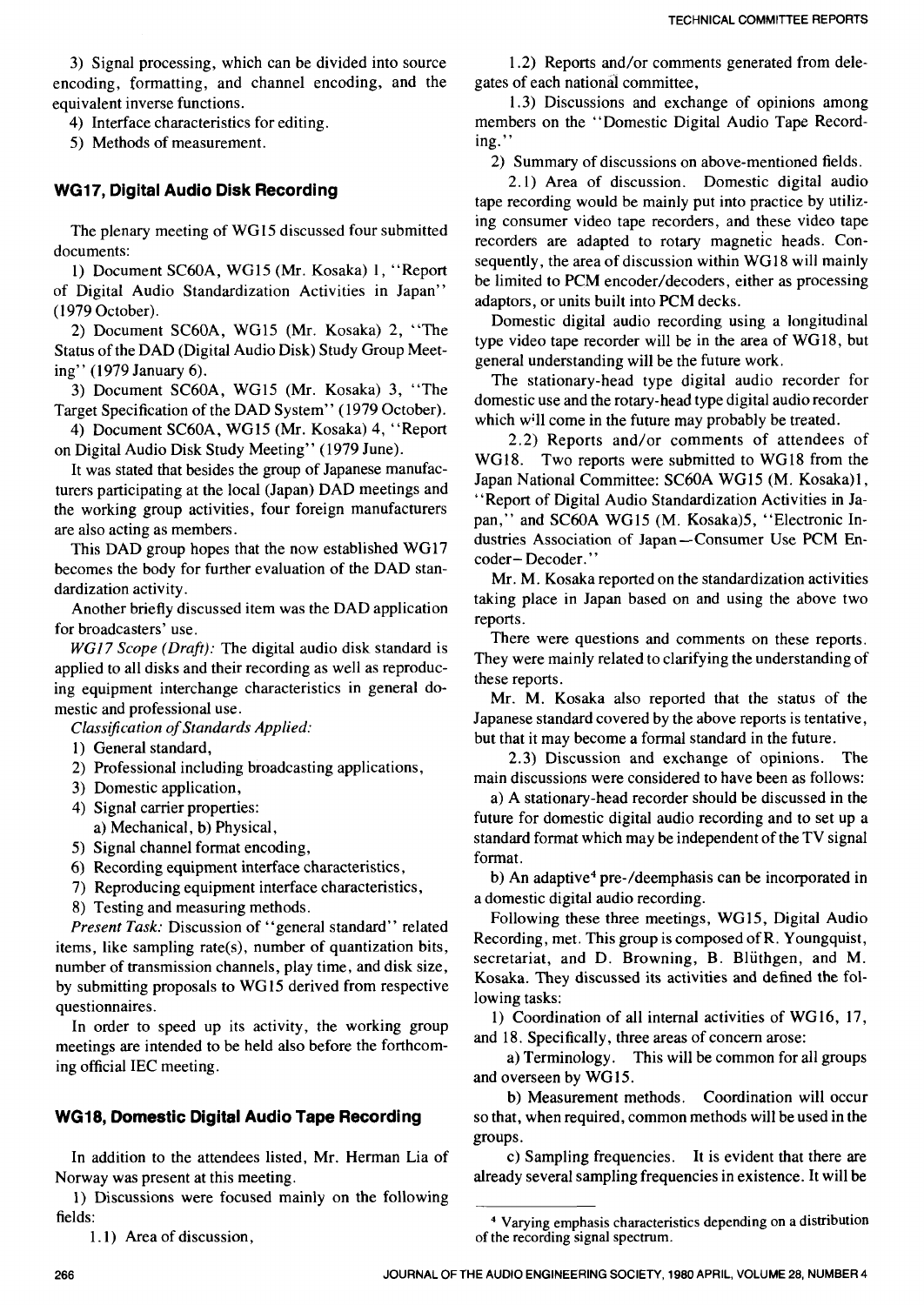3) Signal processing, which can be divided into source encoding, formatting, and channel encoding, and the equivalent inverse functions.

4) Interface characteristics for editing.

5) Methods of measurement.

#### **WG17, Digital Audio Disk Recording**

The plenary meeting of WG15 discussed four submitted documents:

1) Document SC60A, WG15 (Mr. Kosaka) 1, "Report of Digital Audio Standardization Activities in Japan" (1979 October).

2) Document SC6OA, WG15 (Mr. Kosaka) 2, "The Status of the DAD (Digital Audio Disk) Study Group Meeting" (1979 January 6).

3) Document SC6OA, WG15 (Mr. Kosaka) 3, "The Target Specification of the DAD System" (1979 October).

4) Document SC6OA, WG15 (Mr. Kosaka) 4, "Report on Digital Audio Disk Study Meeting" (1979 June).

It was stated that besides the group of Japanese manufacturers participating at the local (Japan) DAD meetings and the working group activities, four foreign manufacturers are also acting as members.

This DAD group hopes that the now established WG17 becomes the body for further evaluation of the DAD standardization activity.

Another briefly discussed item was the DAD application for broadcasters' use.

*WGl7 Scope (Draft):* The digital audio disk standard is applied to all disks and their recording as well as reproducing equipment interchange characteristics in general domestic and professional use.

*Classijication* of *Standards Applied:* 

- 1) General standard,
- 2) Professional including broadcasting applications,
- 3) Domestic application,
- 4) Signal carrier properties: a) Mechanical, b) Physical,
- 5) Signal channel format encoding,
- 6) Recording equipment interface characteristics,
- 7) Reproducing equipment interface characteristics,
- 8) Testing and measuring methods.

*Present Task:* Discussion of "general standard" related items, like sampling rate(s), number of quantization bits, number of transmission channels, play time, and disk size, by submitting proposals to WG15 derived from respective questionnaires.

In order to speed up its activity, the working group meetings are intended to be held also before the forthcoming official IEC meeting.

#### **WG18, Domestic Digital Audio Tape Recording**

In addition to the attendees listed, Mr. Herman Lia of Norway was present at this meeting.

1) Discussions were focused mainly on the following fields:

1.1) Area of discussion,

1.2) Reports and/or comments generated from delegates of each national committee,

1.3) Discussions and exchange of opinions among members on the "Domestic Digital Audio Tape Recording."

2) Summary of discussions on above-mentioned fields.

2.1) Area of discussion. Domestic digital audio tape recording would be mainly put into practice by utilizing consumer video tape recorders, and these video tape recorders are adapted to rotary magnetic heads. Consequently, the area of discussion within WG18 will mainly be limited to PCM encoder/decoders, either as processing adaptors, or units built into PCM decks.

Domestic digital audio recording using a longitudinal type video tape recorder will be in the area of WG18, but general understanding will be the future work.

The stationary-head type digital audio recorder for domestic use and the rotary-head type digital audio recorder which will come in the future may probably be treated.

2.2) Reports and/or comments of attendees of WG18. Two reports were submitted to WG18 from the Japan National Committee: SC60A WG15 (M. Kosaka)1, "Report of Digital Audio Standardization Activities in Japan," and SC60A WG15 (M. Kosaka)5, "Electronic Industries Association of Japan-Consumer Use PCM Encoder- Decoder."

Mr. M. Kosaka reported on the standardization activities taking place in Japan based on and using the above two reports.

There were questions and comments on these reports. They were mainly related to clarifying the understanding of these reports.

Mr. M. Kosaka also reported that the status of the Japanese standard covered by the above reports is tentative, but that it may become a formal standard in the future.

2.3) Discussion and exchange of opinions. The main discussions were considered to have been as follows:

a) A stationary-head recorder should be discussed in the future for domestic digital audio recording and to set up a standard format which may be independent of the TV signal format.

b) An adaptive<sup>4</sup> pre-/deemphasis can be incorporated in a domestic digital audio recording.

Following these three meetings, WG 15, Digital Audio Recording, met. This group is composed of R. Youngquist, secretariat, and D. Browning, B. Blüthgen, and M. Kosaka. They discussed its activities and defined the following tasks:

1) Coordination of all internal activities of WG16, 17, and 18. Specifically, three areas of concern arose:

a) Terminology. This will be common for all groups and overseen by WG15.

b) Measurement methods. Coordination will occur so that, when required, common methods will be used in the groups.

c) Sampling frequencies. It is evident that there are already several sampling frequencies in existence. It will be

**Varying emphasis characteristics depending on a distribution of the recording signal spectrum.**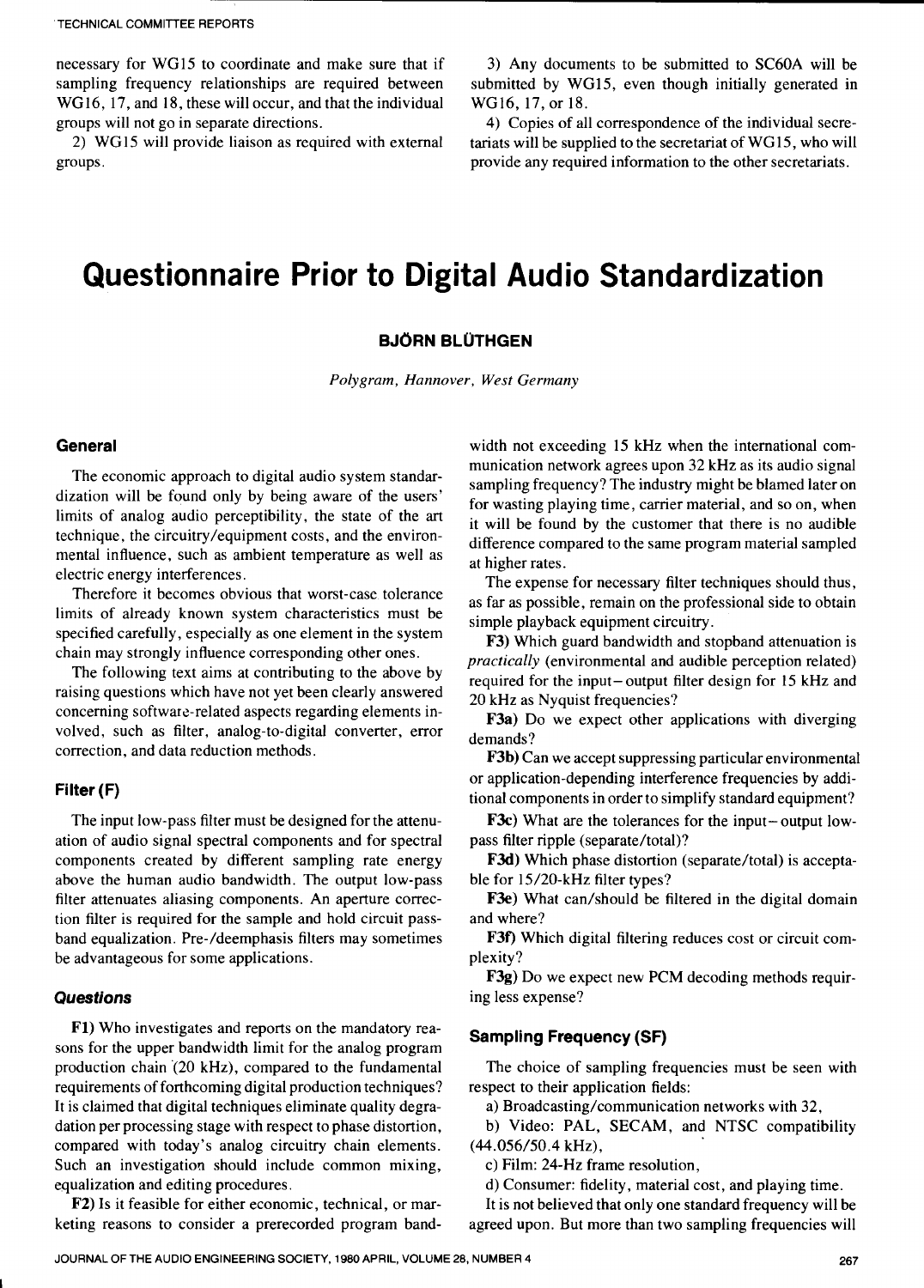necessary for WG15 to coordinate and make sure that if sampling frequency relationships are required between WG16, 17, and 18, these will occur, and that the individual groups will not go in separate directions.

2) WG15 will provide liaison as required with external groups.

3) Any documents to be submitted to SC6OA will be submitted by WGl5, even though initially generated in WG16, 17, or 18.

4) Copies of all correspondence of the individual secretariats will be supplied to the secretariat of WG15, who will provide any required information to the other secretariats.

# **Questionnaire Prior to Digital Audio Standardization**

#### **BJORN BLUTHGEN**

*Polygram, Hannover, West Germany* 

#### **General**

The economic approach to digital audio system standardization will be found only by being aware of the users' limits of analog audio perceptibility, the state of the *art*  technique, the circuitry/equipment costs, and the environmental influence, such as ambient temperature as well as electric energy interferences.

Therefore it becomes obvious that worst-case tolerance limits of already known system characteristics must be specified carefully, especially as one element in the system chain may strongly influence corresponding other ones.

The following text aims at contributing to the above by raising questions which have not yet been clearly answered concerning software-related aspects regarding elements involved, such as filter, analog-to-digital converter, error correction, and data reduction methods.

#### **Filter (F)**

The input low-pass filter must be designed for the attenuation of audio signal spectral components and for spectral components created by different sampling rate energy above the human audio bandwidth. The output low-pass filter attenuates aliasing components. An aperture correction filter is required for the sample and hold circuit passband equalization. Pre-/deemphasis filters may sometimes be advantageous for some applications.

#### **Questions**

**I** 

**F1)** Who investigates and reports on the mandatory reasons for the upper bandwidth limit for the analog program production chain '(20 kHz), compared to the fundamental requirements of forthcoming digital production techniques? **It** is claimed that digital techniques eliminate quality degradation per processing stage with respect to phase distortion, compared with today's analog circuitry chain elements. Such an investigation should include common mixing, equalization and editing procedures.

**F2) Is** it feasible for either economic, technical, or marketing reasons to consider a prerecorded program band-

width not exceeding 15 kHz when the international communication network agrees upon 32 kHz as its audio signal sampling frequency? The industry might be blamed later on for wasting playing time, carrier material, and so on, when it will be found by the customer that there is no audible difference compared to the same program material sampled at higher rates.

The expense for necessary filter techniques should thus, as far as possible, remain on the professional side to obtain simple playback equipment circuitry.

**F3)** Which guard bandwidth and stopband attenuation is *practically* (environmental and audible perception related) required for the input-output filter design for 15 kHz and 20 kHz as Nyquist frequencies?

**F3a)** Do we expect other applications with diverging demands?

**F3b)** Can we accept suppressing particular environmental or application-depending interference frequencies by additional components in order to simplify standard equipment?

**F3c)** What are the tolerances for the input- output lowpass filter ripple (separate/total)?

F3d) Which phase distortion (separate/total) is acceptable for 15/20-kHz filter types?

F3e) What can/should be filtered in the digital domain and where?

**F3f)** Which digital filtering reduces cost or circuit complexity?

**F3g)** Do we expect new PCM decoding methods requiring less expense?

#### **Sampling Frequency (SF)**

respect to their application fields: The choice of sampling frequencies must be seen with

a) Broadcasting/communication networks with 32,

b) Video: PAL, SECAM, and NTSC compatibility (44.056/50.4 kHz),

c) Film: 24-Hz frame resolution,

d) Consumer: fidelity, material cost, and playing time.

It is not believed that only one standard frequency will be agreed upon. But more than two sampling frequencies will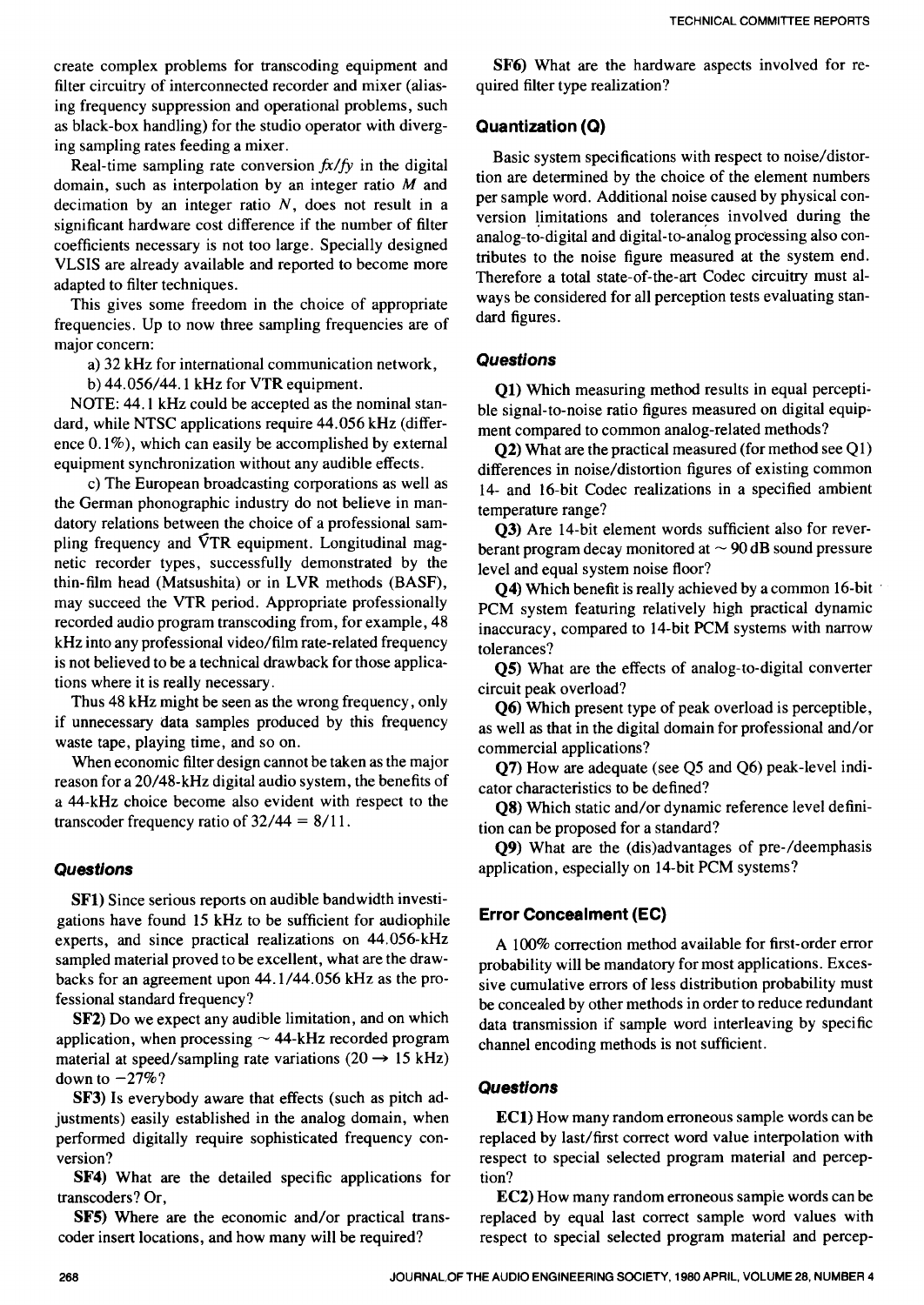create complex problems for transcoding equipment and filter circuitry of interconnected recorder and mixer (aliasing frequency suppression and operational problems, such as black-box handling) for the studio operator with diverging sampling rates feeding a mixer.

Real-time sampling rate conversion *fx/fy* in the digital domain, such as interpolation by an integer ratio  $M$  and decimation by an integer ratio  $N$ , does not result in a significant hardware cost difference if the number of filter coefficients necessary is not too large. Specially designed VLSIS are already available and reported to become more adapted to filter techniques.

This gives some freedom in the choice of appropriate frequencies. Up to now three sampling frequencies are of major concern:

a) 32 kHz for international communication network,

b) 44.056/44.1 kHz for VTR equipment.

NOTE: 44.1 kHz could be accepted as the nominal standard, while NTSC applications require 44.056 kHz (difference  $0.1\%$ ), which can easily be accomplished by external equipment synchronization without any audible effects.

c) The European broadcasting corporations as well as the German phonographic industry do not believe in mandatory relations between the choice of a professional sampling frequency and  $\nabla$ TR equipment. Longitudinal magnetic recorder types, successfully demonstrated by the thin-film head (Matsushita) or in LVR methods (BASF), may succeed the VTR period. Appropriate professionally recorded audio program transcoding from, for example, 48 kHz into any professional video/film rate-related frequency is not believed to be a technical drawback for those applications where it is really necessary.

Thus 48 kHz might be seen as the wrong frequency, only if unnecessary data samples produced by this frequency waste tape, playing time, and so on.

When economic filter design cannot be taken as the major reason for a 20/48-kHz digital audio system, the benefits of a 44-kHz choice become also evident with respect to the transcoder frequency ratio of  $32/44 = 8/11$ .

### *Questions*

**SF1)** Since serious reports on audible bandwidth investigations have found 15 kHz to be sufficient for audiophile experts, and since practical realizations on 44.056-kHz sampled material proved to be excellent, what are the drawbacks for an agreement upon 44.1/44.056 kHz as the professional standard frequency?

**SF2)** Do we expect any audible limitation, and on which application, when processing  $\sim$  44-kHz recorded program application, when processing  $\sim$  44-kHz recorded program material at speed/sampling rate variations (20  $\rightarrow$  15 kHz) down to  $-27\%$ ?

**SF3)** Is everybody aware that effects (such as pitch adjustments) easily established in the analog domain, when performed digitally require sophisticated frequency conversion?

**SF4)** What are the detailed specific applications for transcoders? Or,

**SF5)** Where are the economic and/or practical transcoder insert locations, and how many will be required?

**SF6)** What are the hardware aspects involved for required filter type realization?

## **Quantization (Q)**

Basic system specifications with respect to noise/distortion are determined by the choice of the element numbers per sample word. Additional noise caused by physical conversion limitations and tolerances involved during the analog-to-digital and digital-to-analog processing also contributes to the noise figure measured at the system end. Therefore a total state-of-the-art Codec circuitry must always be considered for all perception tests evaluating standard figures.

### *Questions*

**Q1)** Which measuring method results in equal perceptible signal-to-noise ratio figures measured on digital equipment compared to common analog-related methods?

**Q2**) What are the practical measured (for method see Q1) differences in noise/distortion figures of existing common 14- and 16-bit Codec realizations in a specified ambient temperature range?

**Q3)** Are 14-bit element words sufficient also for reverberant program decay monitored at  $\sim$  90 dB sound pressure level and equal system noise floor?

**44)** Which benefit is really achieved by a common 16-bit PCM system featuring relatively high practical dynamic inaccuracy, compared to 14-bit PCM systems with narrow tolerances?

**Q5)** What are the effects of analog-to-digital converter circuit peak overload?

**Q6)** Which present type of peak overload is perceptible, as well as that in the digital domain for professional and/or commercial applications?

**47)** How are adequate (see Q5 and Q6) peak-level indicator characteristics to be defined?

**Q8)** Which static and/or dynamic reference level definition can be proposed for a standard?

**Q9)** What are the (dis)advantages of pre-/deemphasis application, especially on 14-bit PCM systems?

## **Error Concealment (EC)**

A 100% correction method available for first-order error probability will be mandatory for most applications. Excessive cumulative errors of less distribution probability must be concealed by other methods in order to reduce redundant data transmission if sample word interleaving by specific channel encoding methods is not sufficient.

## *Questions*

**EC1)** How many random erroneous sample words can be replaced by last/first correct word value interpolation with respect to special selected program material and perception?

**EC2)** How many random erroneous sampie words can be replaced by equal last correct sample word values with respect to special selected program material and percep